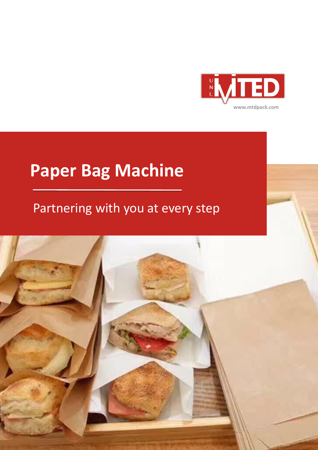

## **Paper Bag Machine**

#### Partnering with you at every step

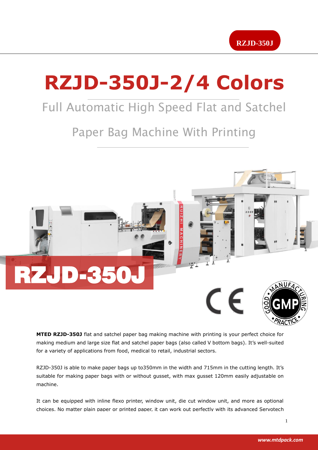

# **RZJD-350J-2/4 Colors**

#### Full Automatic High Speed Flat and Satchel

#### Paper Bag Machine With Printing



**MTED RZJD-350J** flat and satchel paper bag making machine with printing is your perfect choice for making medium and large size flat and satchel paper bags (also called V bottom bags). It's well-suited for a variety of applications from food, medical to retail, industrial sectors.

RZJD-350J is able to make paper bags up to350mm in the width and 715mm in the cutting length. It's suitable for making paper bags with or without gusset, with max gusset 120mm easily adjustable on machine.

It can be equipped with inline flexo printer, window unit, die cut window unit, and more as optional choices. No matter plain paper or printed paper, it can work out perfectly with its advanced Servotech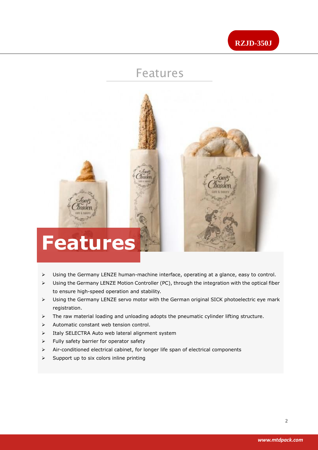

#### Features



- Using the Germany LENZE human-machine interface, operating at a glance, easy to control.
- Using the Germany LENZE Motion Controller (PC), through the integration with the optical fiber to ensure high-speed operation and stability.
- Using the Germany LENZE servo motor with the German original SICK photoelectric eye mark registration.
- $\triangleright$  The raw material loading and unloading adopts the pneumatic cylinder lifting structure.
- $\triangleright$  Automatic constant web tension control.
- > Italy SELECTRA Auto web lateral alignment system
- $\triangleright$  Fully safety barrier for operator safety
- $\triangleright$  Air-conditioned electrical cabinet, for longer life span of electrical components
- $\triangleright$  Support up to six colors inline printing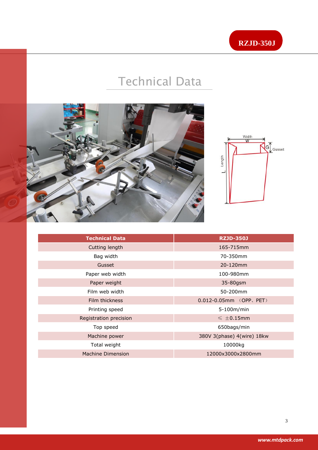

### Technical Data



Ī



| <b>Technical Data</b>  | <b>RZJD-350J</b>               |
|------------------------|--------------------------------|
| Cutting length         | 165-715mm                      |
| Bag width              | 70-350mm                       |
| Gusset                 | 20-120mm                       |
| Paper web width        | 100-980mm                      |
| Paper weight           | 35-80gsm                       |
| Film web width         | 50-200mm                       |
| Film thickness         | $0.012 - 0.05$ mm $(OPP, PET)$ |
| Printing speed         | 5-100m/min                     |
| Registration precision | $\leqslant \pm 0.15$ mm        |
| Top speed              | 650bags/min                    |
| Machine power          | 380V 3(phase) 4(wire) 18kw     |
| Total weight           | 10000kg                        |
| Machine Dimension      | 12000x3000x2800mm              |